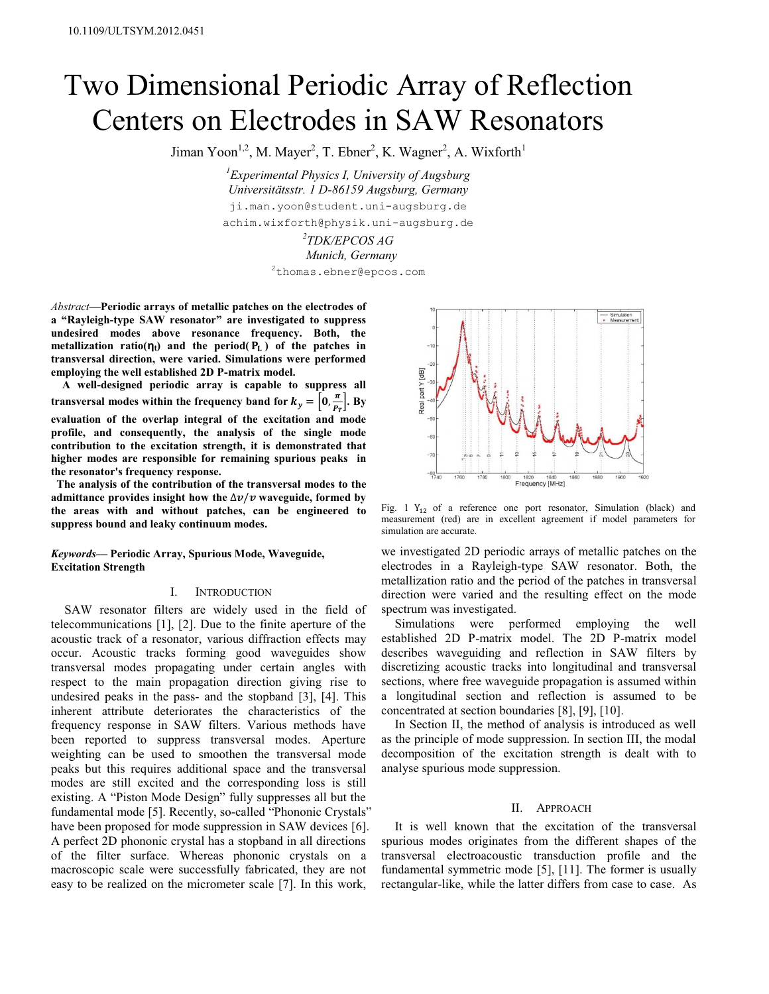# Two Dimensional Periodic Array of Reflection Centers on Electrodes in SAW Resonators

Jiman Yoon<sup>1,2</sup>, M. Mayer<sup>2</sup>, T. Ebner<sup>2</sup>, K. Wagner<sup>2</sup>, A. Wixforth<sup>1</sup>

*<sup>1</sup>Experimental Physics I, University of Augsburg Universitätsstr. 1 D-86159 Augsburg, Germany* ji.man.yoon@student.uni-augsburg.de achim.wixforth@physik.uni-augsburg.de

*2 TDK/EPCOS AG*

*Munich, Germany* <sup>2</sup>thomas.ebner@epcos.com

*Abstract***—Periodic arrays of metallic patches on the electrodes of a "Rayleigh-type SAW resonator" are investigated to suppress undesired modes above resonance frequency. Both, the metallization ratio(** $\eta$ <sub>t</sub>) and the period( $P$ <sub>L</sub>) of the patches in **transversal direction, were varied. Simulations were performed employing the well established 2D P-matrix model.**

**A well-designed periodic array is capable to suppress all transversal modes within the frequency band for**  $k_y = \left[0, \frac{\pi}{P_T}\right]$ **. By evaluation of the overlap integral of the excitation and mode profile, and consequently, the analysis of the single mode contribution to the excitation strength, it is demonstrated that higher modes are responsible for remaining spurious peaks in the resonator's frequency response.**

**The analysis of the contribution of the transversal modes to the admittance provides insight how the** ∆
/ **waveguide, formed by the areas with and without patches, can be engineered to suppress bound and leaky continuum modes.**

*Keywords***— Periodic Array, Spurious Mode, Waveguide, Excitation Strength**

## I. INTRODUCTION

SAW resonator filters are widely used in the field of telecommunications [1], [2]. Due to the finite aperture of the acoustic track of a resonator, various diffraction effects may occur. Acoustic tracks forming good waveguides show transversal modes propagating under certain angles with respect to the main propagation direction giving rise to undesired peaks in the pass- and the stopband [3], [4]. This inherent attribute deteriorates the characteristics of the frequency response in SAW filters. Various methods have been reported to suppress transversal modes. Aperture weighting can be used to smoothen the transversal mode peaks but this requires additional space and the transversal modes are still excited and the corresponding loss is still existing. A "Piston Mode Design" fully suppresses all but the fundamental mode [5]. Recently, so-called "Phononic Crystals" have been proposed for mode suppression in SAW devices [6]. A perfect 2D phononic crystal has a stopband in all directions of the filter surface. Whereas phononic crystals on a macroscopic scale were successfully fabricated, they are not easy to be realized on the micrometer scale [7]. In this work,



Fig. 1  $Y_{12}$  of a reference one port resonator, Simulation (black) and measurement (red) are in excellent agreement if model parameters for simulation are accurate.

we investigated 2D periodic arrays of metallic patches on the electrodes in a Rayleigh-type SAW resonator. Both, the metallization ratio and the period of the patches in transversal direction were varied and the resulting effect on the mode spectrum was investigated.

Simulations were performed employing the well established 2D P-matrix model. The 2D P-matrix model describes waveguiding and reflection in SAW filters by discretizing acoustic tracks into longitudinal and transversal sections, where free waveguide propagation is assumed within a longitudinal section and reflection is assumed to be concentrated at section boundaries [8], [9], [10].

In Section II, the method of analysis is introduced as well as the principle of mode suppression. In section III, the modal decomposition of the excitation strength is dealt with to analyse spurious mode suppression.

## II. APPROACH

It is well known that the excitation of the transversal spurious modes originates from the different shapes of the transversal electroacoustic transduction profile and the fundamental symmetric mode [5], [11]. The former is usually rectangular-like, while the latter differs from case to case. As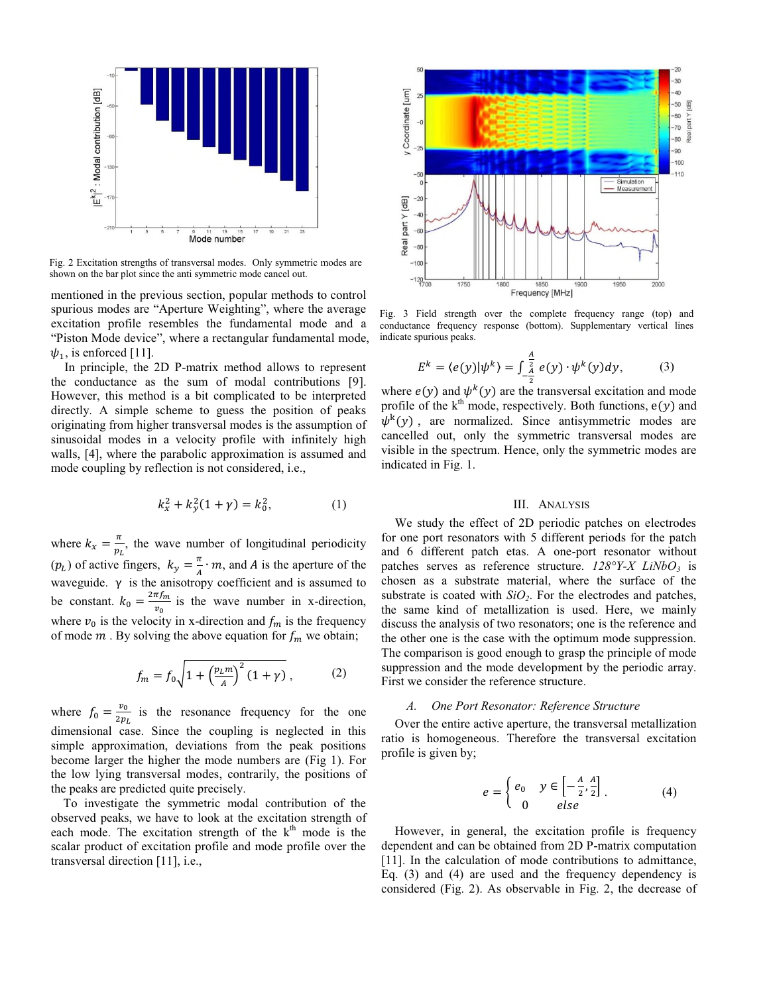

Fig. 2 Excitation strengths of transversal modes. Only symmetric modes are shown on the bar plot since the anti symmetric mode cancel out.

mentioned in the previous section, popular methods to control spurious modes are "Aperture Weighting", where the average excitation profile resembles the fundamental mode and a "Piston Mode device", where a rectangular fundamental mode,  $\psi_1$ , is enforced [11].

In principle, the 2D P-matrix method allows to represent the conductance as the sum of modal contributions [9]. However, this method is a bit complicated to be interpreted directly. A simple scheme to guess the position of peaks originating from higher transversal modes is the assumption of sinusoidal modes in a velocity profile with infinitely high walls, [4], where the parabolic approximation is assumed and mode coupling by reflection is not considered, i.e.,

$$
k_x^2 + k_y^2(1 + \gamma) = k_0^2,\tag{1}
$$

where  $k_x = \frac{\pi}{p_b}$ , the wave number of longitudinal periodicity  $(p_L)$  of active fingers,  $k_y = \frac{\pi}{4} \cdot m$ , and A is the aperture of the waveguide.  $\gamma$  is the anisotropy coefficient and is assumed to be constant.  $k_0 = \frac{2\pi f_m}{v_0}$  is the wave number in x-direction, where  $v_0$  is the velocity in x-direction and  $f_m$  is the frequency of mode  $m$ . By solving the above equation for  $f_m$  we obtain;

$$
f_m = f_0 \sqrt{1 + \left(\frac{p_L m}{A}\right)^2 (1 + \gamma)},
$$
 (2)

where  $f_0 = \frac{v_0}{2p_L}$  is the resonance frequency for the one dimensional case. Since the coupling is neglected in this simple approximation, deviations from the peak positions become larger the higher the mode numbers are (Fig 1). For the low lying transversal modes, contrarily, the positions of the peaks are predicted quite precisely.

To investigate the symmetric modal contribution of the observed peaks, we have to look at the excitation strength of each mode. The excitation strength of the  $k<sup>th</sup>$  mode is the scalar product of excitation profile and mode profile over the transversal direction [11], i.e.,



Fig. 3 Field strength over the complete frequency range (top) and conductance frequency response (bottom). Supplementary vertical lines indicate spurious peaks.

$$
E^k = \langle e(y) | \psi^k \rangle = \int_{-\frac{A}{2}}^{\frac{A}{2}} e(y) \cdot \psi^k(y) dy, \tag{3}
$$

where  $e(y)$  and  $\psi^k(y)$  are the transversal excitation and mode profile of the  $k^{\text{th}}$  mode, respectively. Both functions,  $e(y)$  and  $\psi^k(y)$ , are normalized. Since antisymmetric modes are cancelled out, only the symmetric transversal modes are visible in the spectrum. Hence, only the symmetric modes are indicated in Fig. 1.

# III. ANALYSIS

We study the effect of 2D periodic patches on electrodes for one port resonators with 5 different periods for the patch and 6 different patch etas. A one-port resonator without patches serves as reference structure. *128°Y-X LiNbO<sup>3</sup>* is chosen as a substrate material, where the surface of the substrate is coated with  $SiO<sub>2</sub>$ . For the electrodes and patches, the same kind of metallization is used. Here, we mainly discuss the analysis of two resonators; one is the reference and the other one is the case with the optimum mode suppression. The comparison is good enough to grasp the principle of mode suppression and the mode development by the periodic array. First we consider the reference structure.

## *A. One Port Resonator: Reference Structure*

Over the entire active aperture, the transversal metallization ratio is homogeneous. Therefore the transversal excitation profile is given by;

$$
e = \begin{cases} e_0 & y \in \left[ -\frac{A}{2}, \frac{A}{2} \right] \\ 0 & else \end{cases}
$$
 (4)

However, in general, the excitation profile is frequency dependent and can be obtained from 2D P-matrix computation [11]. In the calculation of mode contributions to admittance, Eq. (3) and (4) are used and the frequency dependency is considered (Fig. 2). As observable in Fig. 2, the decrease of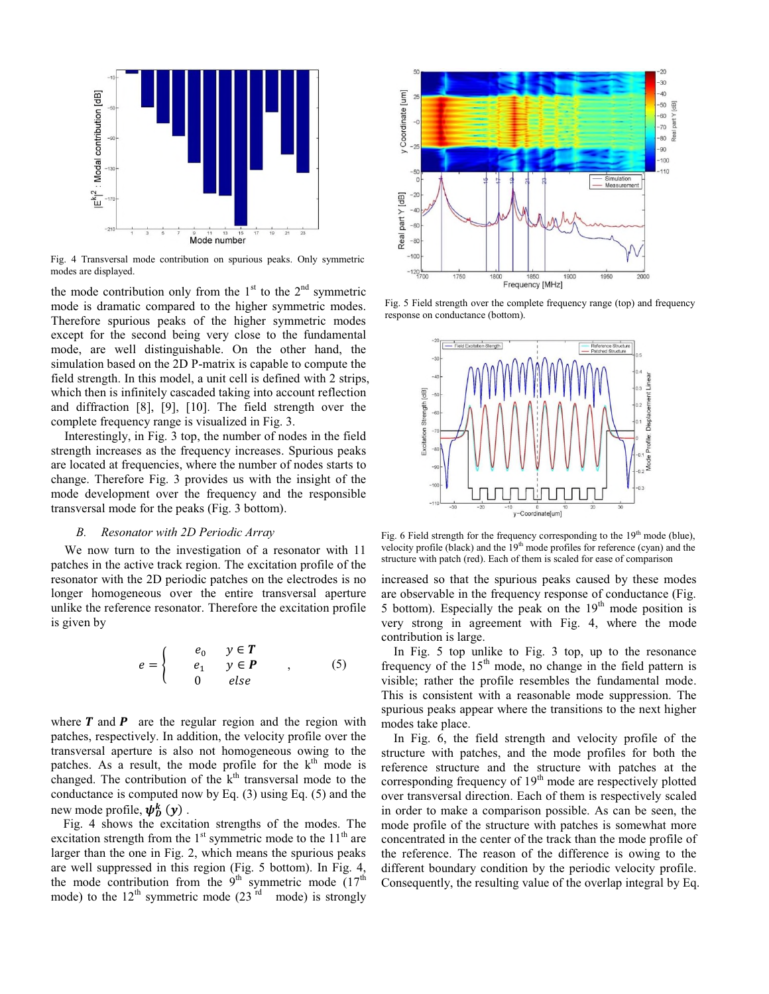

Fig. 4 Transversal mode contribution on spurious peaks. Only symmetric modes are displayed.

the mode contribution only from the  $1<sup>st</sup>$  to the  $2<sup>nd</sup>$  symmetric mode is dramatic compared to the higher symmetric modes. Therefore spurious peaks of the higher symmetric modes except for the second being very close to the fundamental mode, are well distinguishable. On the other hand, the simulation based on the 2D P-matrix is capable to compute the field strength. In this model, a unit cell is defined with 2 strips, which then is infinitely cascaded taking into account reflection and diffraction [8], [9], [10]. The field strength over the complete frequency range is visualized in Fig. 3.

Interestingly, in Fig. 3 top, the number of nodes in the field strength increases as the frequency increases. Spurious peaks are located at frequencies, where the number of nodes starts to change. Therefore Fig. 3 provides us with the insight of the mode development over the frequency and the responsible transversal mode for the peaks (Fig. 3 bottom).

### *B. Resonator with 2D Periodic Array*

We now turn to the investigation of a resonator with 11 patches in the active track region. The excitation profile of the resonator with the 2D periodic patches on the electrodes is no longer homogeneous over the entire transversal aperture unlike the reference resonator. Therefore the excitation profile is given by

$$
e = \begin{cases} e_0 & y \in T \\ e_1 & y \in P \\ 0 & else \end{cases}
$$
 (5)

where  $T$  and  $P$  are the regular region and the region with patches, respectively. In addition, the velocity profile over the transversal aperture is also not homogeneous owing to the patches. As a result, the mode profile for the  $k<sup>th</sup>$  mode is changed. The contribution of the  $k<sup>th</sup>$  transversal mode to the conductance is computed now by Eq. (3) using Eq. (5) and the new mode profile,  $\hat{\psi}_D^k(y)$  .

Fig. 4 shows the excitation strengths of the modes. The excitation strength from the  $1<sup>st</sup>$  symmetric mode to the  $11<sup>th</sup>$  are larger than the one in Fig. 2, which means the spurious peaks are well suppressed in this region (Fig. 5 bottom). In Fig. 4, the mode contribution from the  $9<sup>th</sup>$  symmetric mode  $(17<sup>th</sup>$ mode) to the  $12^{th}$  symmetric mode  $(23^{rd} \mod)$  is strongly



Fig. 5 Field strength over the complete frequency range (top) and frequency response on conductance (bottom).



Fig. 6 Field strength for the frequency corresponding to the 19<sup>th</sup> mode (blue), velocity profile (black) and the  $19<sup>th</sup>$  mode profiles for reference (cyan) and the structure with patch (red). Each of them is scaled for ease of comparison

increased so that the spurious peaks caused by these modes are observable in the frequency response of conductance (Fig. 5 bottom). Especially the peak on the  $19<sup>th</sup>$  mode position is very strong in agreement with Fig. 4, where the mode contribution is large.

In Fig. 5 top unlike to Fig. 3 top, up to the resonance frequency of the 15<sup>th</sup> mode, no change in the field pattern is visible; rather the profile resembles the fundamental mode. This is consistent with a reasonable mode suppression. The spurious peaks appear where the transitions to the next higher modes take place.

In Fig. 6, the field strength and velocity profile of the structure with patches, and the mode profiles for both the reference structure and the structure with patches at the corresponding frequency of  $19<sup>th</sup>$  mode are respectively plotted over transversal direction. Each of them is respectively scaled in order to make a comparison possible. As can be seen, the mode profile of the structure with patches is somewhat more concentrated in the center of the track than the mode profile of the reference. The reason of the difference is owing to the different boundary condition by the periodic velocity profile. Consequently, the resulting value of the overlap integral by Eq.